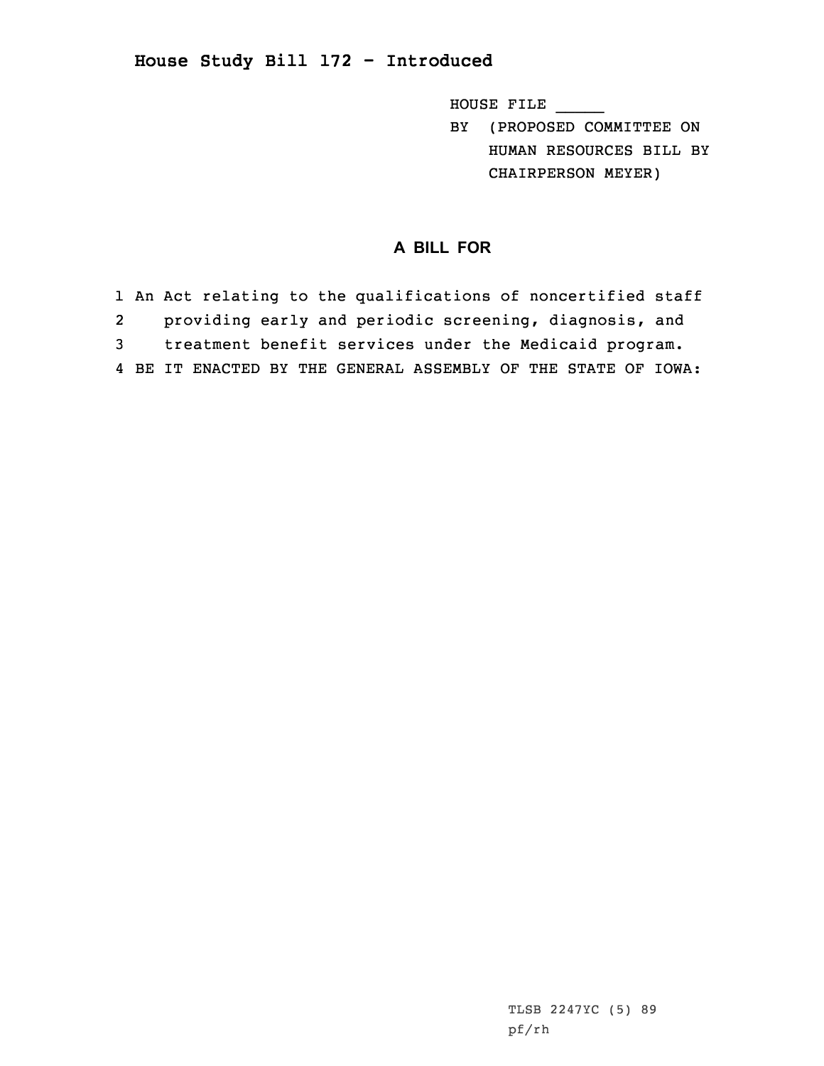## **House Study Bill 172 - Introduced**

HOUSE FILE \_\_\_\_\_

BY (PROPOSED COMMITTEE ON HUMAN RESOURCES BILL BY CHAIRPERSON MEYER)

## **A BILL FOR**

 An Act relating to the qualifications of noncertified staff providing early and periodic screening, diagnosis, and treatment benefit services under the Medicaid program. BE IT ENACTED BY THE GENERAL ASSEMBLY OF THE STATE OF IOWA: